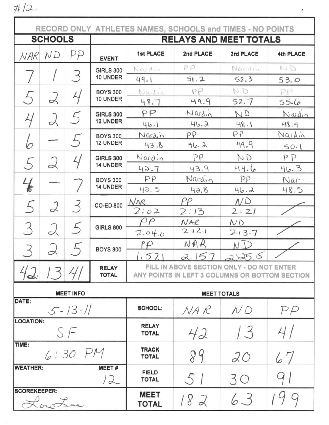$#12$ 

|                                                 |                                        |    |                              | RECORD ONLY ATHLETES NAMES, SCHOOLS and TIMES - NO POINTS                                   |           |                 |           |
|-------------------------------------------------|----------------------------------------|----|------------------------------|---------------------------------------------------------------------------------------------|-----------|-----------------|-----------|
| <b>SCHOOLS</b><br><b>RELAYS AND MEET TOTALS</b> |                                        |    |                              |                                                                                             |           |                 |           |
| NAR                                             | ND                                     | PP | <b>EVENT</b>                 | <b>1st PLACE</b>                                                                            | 2nd PLACE | 3rd PLACE       | 4th PLACE |
|                                                 |                                        |    | <b>GIRLS 300</b>             | Nardin                                                                                      | PP        | Nardin          | ND        |
|                                                 |                                        | 3  | 10 UNDER                     | 49.1                                                                                        | 51.2      | 52.3            | 53.0      |
| 5                                               |                                        | 4  | <b>BOYS 300</b>              | Nadia                                                                                       | PP        | ND              | PP        |
|                                                 | 2                                      |    | 10 UNDER                     | 48.7                                                                                        | 49.9      | 52.7            | 55.6      |
| 4                                               | 2                                      |    | <b>GIRLS 300</b>             | PP                                                                                          | Nardin    | ND              | Nardin    |
|                                                 |                                        |    | <b>12 UNDER</b>              | 46.1                                                                                        | 46.2      | 48.1            | 48.4      |
|                                                 |                                        |    | <b>BOYS 300</b>              | Nardin                                                                                      | PP        | PP              | Nardin    |
| 6                                               |                                        |    | 12 UNDER                     | 43.8                                                                                        | 46.2      | 49.9            | 50.1      |
|                                                 | 2                                      |    | <b>GIRLS 300</b>             | Nardin                                                                                      | PP        | ND              | PP        |
| 5                                               |                                        |    | 14 UNDER                     | 42.7                                                                                        | 43.9      | 44.6            | 46.3      |
| $\frac{1}{\epsilon}$                            |                                        |    | <b>BOYS 300</b>              | PP                                                                                          | Nardin    | PP              | Nar       |
|                                                 |                                        |    | 14 UNDER                     | 42.5                                                                                        | 42.8      | 46.2            | 48.5      |
| 5                                               | 2                                      | 3  | <b>CO-ED 800</b>             | NAR                                                                                         | PP        | $N\overline{D}$ |           |
|                                                 |                                        |    |                              | 2.02                                                                                        | 2:13      | 2:21            |           |
| 3                                               |                                        |    | <b>GIRLS 800</b>             | $\varrho$                                                                                   | NAR       | ND              |           |
|                                                 | 2                                      |    |                              | 2.04.0                                                                                      | 212.1     | 213.7           |           |
| 3                                               |                                        |    | <b>BOYS 800</b>              | fΡ                                                                                          | NAR       | NI              |           |
|                                                 |                                        |    |                              | 1.57.1                                                                                      | 2.157     | 2.256           |           |
|                                                 | 1341                                   |    | <b>RELAY</b><br><b>TOTAL</b> | FILL IN ABOVE SECTION ONLY - DO NOT ENTER<br>ANY POINTS IN LEFT 3 COLUMNS OR BOTTOM SECTION |           |                 |           |
|                                                 | <b>MEET INFO</b><br><b>MEET TOTALS</b> |    |                              |                                                                                             |           |                 |           |
| DATE:<br>$5 - 13 - 11$                          |                                        |    |                              | <b>SCHOOL:</b>                                                                              | NA R      | ND              | PP        |
| <b>LOCATION:</b><br>S F                         |                                        |    |                              | <b>RELAY</b><br><b>TOTAL</b>                                                                | 42        | 13              | 4/        |
| TIME:<br>$6:30$ PM                              |                                        |    |                              | <b>TRACK</b><br><b>TOTAL</b>                                                                | 89        | 20              | 67        |
| <b>WEATHER:</b><br><b>MEET#</b><br>12           |                                        |    |                              | <b>FIELD</b><br><b>TOTAL</b>                                                                | 51        | 30              |           |
| <b>SCOREKEEPER:</b><br>KoyLee                   |                                        |    | <b>MEET</b><br><b>TOTAL</b>  | 182                                                                                         | 63        |                 |           |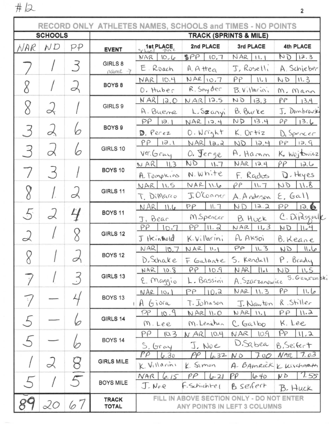$#12$ 

|                    |                                              |               |                                                           | RECORD ONLY ATHLETES NAMES, SCHOOLS and TIMES - NO POINTS |                                                      |                                   |                             |          |            |
|--------------------|----------------------------------------------|---------------|-----------------------------------------------------------|-----------------------------------------------------------|------------------------------------------------------|-----------------------------------|-----------------------------|----------|------------|
| <b>SCHOOLS</b>     |                                              |               |                                                           |                                                           |                                                      | <b>TRACK (SPRINTS &amp; MILE)</b> |                             |          |            |
| NAR                | ND                                           | PP            | <b>EVENT</b>                                              | 1st PLACE                                                 | 2nd PLACE                                            | 3rd PLACE                         | 4th PLACE                   |          |            |
|                    |                                              |               |                                                           | $WAR$ $10.6$                                              | SPP<br>10,7                                          | $NAR$ $11.1$                      | ND<br>12.3                  |          |            |
|                    |                                              | 3             | GIRLS 8<br>name 7                                         | E. Roach                                                  | A. A tteg                                            | J, Roselli                        | A. Schieber                 |          |            |
|                    |                                              |               | BOYS <sub>8</sub>                                         | 10.4<br>NAR                                               | NAR 10.7                                             | PP<br>$11 - 1$                    | ND<br>11.3                  |          |            |
|                    |                                              | $\prec$       |                                                           | O. Huber                                                  | R. Snyder                                            | B. Villarini                      | M. Mann                     |          |            |
| 8                  |                                              |               | GIRLS 9                                                   | $NAR$ $12.0$                                              | NAR 12.5                                             | ND<br>13,3                        | PP<br>13.4                  |          |            |
|                    | $\lambda$                                    |               |                                                           | A. Buene                                                  | L. Szanyi                                            | B. Burke                          | J. Dombranski               |          |            |
|                    |                                              |               | BOYS <sub>9</sub>                                         | PP<br>13.1                                                | NAR 12.4                                             | ND<br>13.4                        | 13.6<br>PP                  |          |            |
| $\mathcal{Z}$      | $\alpha$                                     | 6             |                                                           | D. Perez                                                  | $D.$ $W$ $n^2$ $h$ +                                 | K. Ortiz                          | D, Spencer                  |          |            |
| 3                  | L                                            | 6             | GIRLS 10                                                  | PP<br>13.1                                                | $NAR$ $1a.2$                                         | ND<br>12.4                        | 12.9<br>PP                  |          |            |
|                    |                                              |               |                                                           | Ver. Gray                                                 | O. Jerge                                             | A. Hamm                           | K. Wojtowicz                |          |            |
|                    | $\mathcal{A}$                                |               | BOYS 10                                                   | NAR<br>11.3                                               | ND<br>$11 - 7$                                       | $NAR$ 12.4                        | PP<br>12.6                  |          |            |
|                    |                                              |               |                                                           | A. Tompleins                                              | N. White                                             | F. Radus                          | D. Hayes                    |          |            |
| 8                  |                                              | 2             | GIRLS 11                                                  | NAR 11.5                                                  | $NAR$ $11.6$                                         | $\rho_{P}$<br>11.7                | $8.11$ $Q$                  |          |            |
|                    |                                              |               |                                                           | T. DiMarco                                                | J.O'Conner                                           | A. Anderson                       | $\epsilon$ , $Gal)$         |          |            |
| 5                  | 2                                            | $\frac{1}{2}$ | BOYS <sub>11</sub>                                        | $NAR$ $11.6$                                              | II.7<br>PP                                           | 12.2<br>ND                        | PP<br>12.6<br>C. DiPasquale |          |            |
|                    |                                              |               |                                                           | J. Bear<br>PP<br>10.7                                     | M Spencer<br>$\left  \right $ $\left  \right $<br>PP | B. HUCK<br>11, 3<br>NAR           | ND                          |          |            |
| 2                  |                                              | 8             | GIRLS 12                                                  | J Heinhold                                                | K. Villarini                                         | A. AKSOI                          | $11 - 4$<br>B. Keane        |          |            |
|                    |                                              |               |                                                           | NAR<br>10.7                                               | NAR<br>$11 - 1$                                      | PP<br>11.3                        | ND<br>11.6                  |          |            |
| 8                  |                                              |               | <b>BOYS 12</b>                                            | D. Schake                                                 | F. Galante                                           | S. Kendall                        | P. Brady                    |          |            |
|                    |                                              |               |                                                           | 10.8<br>NAR                                               | PP<br>10.9                                           | NAR<br>$  \cdot  $                | 11.5<br>ND                  |          |            |
| 7                  |                                              | 3             | GIRLS 13                                                  | E. Maggio                                                 | L. Bassini                                           | A. Szarzanowicz                   | S. Gawron sk                |          |            |
|                    |                                              |               |                                                           |                                                           |                                                      | $NAR$ $10.1$                      | PP<br>10.2                  | NAR 11.3 | 11.6<br>PP |
| $\overline{\cdot}$ |                                              |               | BOYS <sub>13</sub>                                        | A Giora                                                   | T. Johnson                                           | J. Nawton                         | R. Stiller                  |          |            |
|                    |                                              |               | GIRLS 14                                                  | PP 10.9                                                   | NAR 11.0                                             | NAR II.I                          | PP<br>11.2                  |          |            |
| 5                  |                                              | 6             |                                                           | M. Lee                                                    | M. Lenahan                                           | C. Galbo                          | K. Lee                      |          |            |
|                    |                                              |               |                                                           | pρ<br>10.3                                                | N AR 10.4                                            | NAR<br>10.9                       | PP<br>11.2                  |          |            |
|                    |                                              | v             | BOYS <sub>14</sub>                                        | $S,$ bray                                                 | J. Noe                                               | D.Sabea                           | B, Seifert                  |          |            |
|                    |                                              |               |                                                           | $P\rho$<br>6.30                                           | PP   6.32                                            | 700<br>ND                         | 7.03<br>NAR                 |          |            |
|                    | 2                                            | g             | <b>GIRLS MILE</b>                                         | K. Villarini                                              | K. Simon                                             |                                   | A. BAMRICK K Wischarch      |          |            |
|                    |                                              | 5             | <b>BOYS MILE</b>                                          | $NAR$ $6.15$                                              | PP<br>$6 - 21$                                       | $P\ell$<br>640                    | 7.55<br>ND                  |          |            |
|                    |                                              |               |                                                           | J.We                                                      | F. Schichte <sub>l</sub>                             | B seifert                         | B. Huck                     |          |            |
|                    | 20                                           | 67            | FILL IN ABOVE SECTION ONLY - DO NOT ENTER<br><b>TRACK</b> |                                                           |                                                      |                                   |                             |          |            |
|                    | <b>TOTAL</b><br>ANY POINTS IN LEFT 3 COLUMNS |               |                                                           |                                                           |                                                      |                                   |                             |          |            |